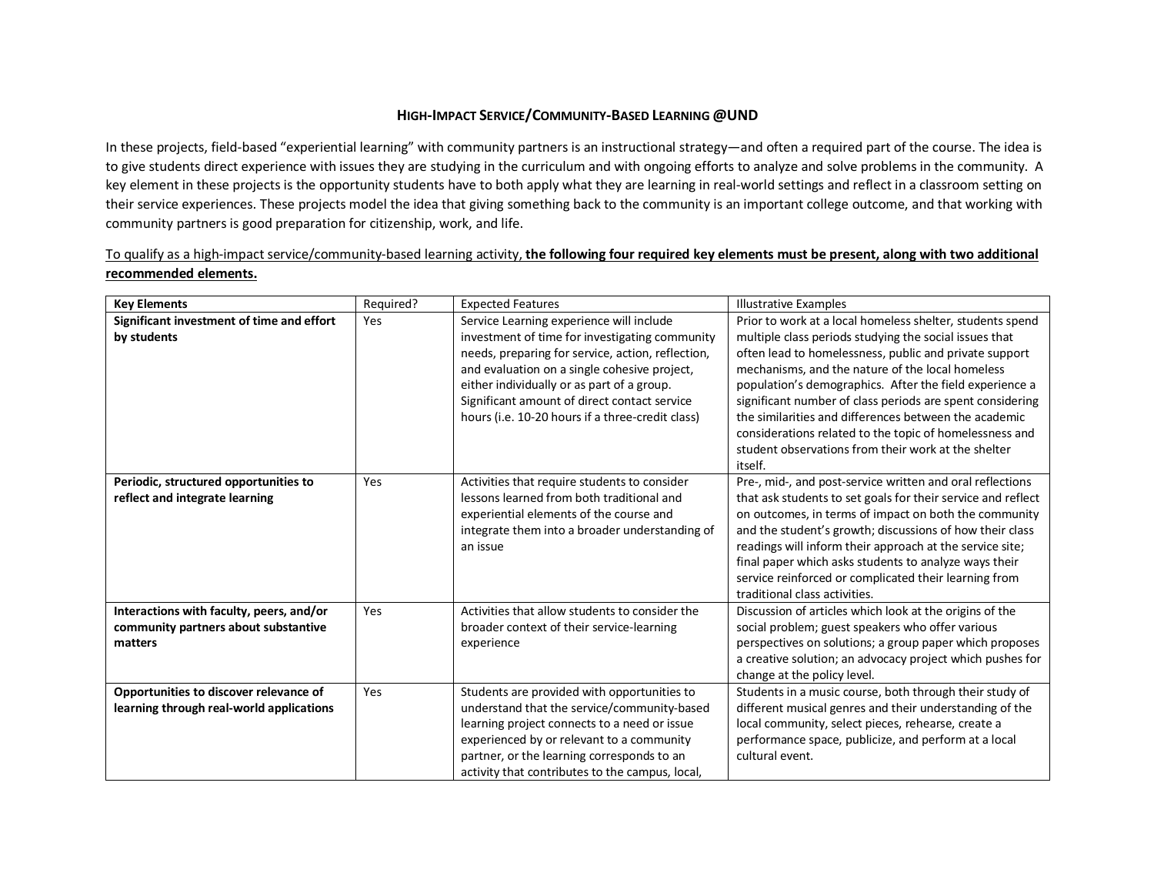## **HIGH-IMPACT SERVICE/COMMUNITY-BASED LEARNING @UND**

In these projects, field-based "experiential learning" with community partners is an instructional strategy—and often a required part of the course. The idea is to give students direct experience with issues they are studying in the curriculum and with ongoing efforts to analyze and solve problems in the community. A key element in these projects is the opportunity students have to both apply what they are learning in real-world settings and reflect in a classroom setting on their service experiences. These projects model the idea that giving something back to the community is an important college outcome, and that working with community partners is good preparation for citizenship, work, and life.

|                       |           |                   | To qualify as a high-impact service/community-based learning activity, the following four required key elements must be present, along with two additional |  |  |  |  |
|-----------------------|-----------|-------------------|------------------------------------------------------------------------------------------------------------------------------------------------------------|--|--|--|--|
| recommended elements. |           |                   |                                                                                                                                                            |  |  |  |  |
| Kev Elements          | Reguired? | Expected Features | Illustrative Examples                                                                                                                                      |  |  |  |  |

| <b>Key Elements</b>                                                                         | Required? | <b>Expected Features</b>                                                                                                                                                                                                                                                                                                                          | <b>Illustrative Examples</b>                                                                                                                                                                                                                                                                                                                                                                                                                                                                                                                    |
|---------------------------------------------------------------------------------------------|-----------|---------------------------------------------------------------------------------------------------------------------------------------------------------------------------------------------------------------------------------------------------------------------------------------------------------------------------------------------------|-------------------------------------------------------------------------------------------------------------------------------------------------------------------------------------------------------------------------------------------------------------------------------------------------------------------------------------------------------------------------------------------------------------------------------------------------------------------------------------------------------------------------------------------------|
| Significant investment of time and effort<br>by students                                    | Yes       | Service Learning experience will include<br>investment of time for investigating community<br>needs, preparing for service, action, reflection,<br>and evaluation on a single cohesive project,<br>either individually or as part of a group.<br>Significant amount of direct contact service<br>hours (i.e. 10-20 hours if a three-credit class) | Prior to work at a local homeless shelter, students spend<br>multiple class periods studying the social issues that<br>often lead to homelessness, public and private support<br>mechanisms, and the nature of the local homeless<br>population's demographics. After the field experience a<br>significant number of class periods are spent considering<br>the similarities and differences between the academic<br>considerations related to the topic of homelessness and<br>student observations from their work at the shelter<br>itself. |
| Periodic, structured opportunities to<br>reflect and integrate learning                     | Yes       | Activities that require students to consider<br>lessons learned from both traditional and<br>experiential elements of the course and<br>integrate them into a broader understanding of<br>an issue                                                                                                                                                | Pre-, mid-, and post-service written and oral reflections<br>that ask students to set goals for their service and reflect<br>on outcomes, in terms of impact on both the community<br>and the student's growth; discussions of how their class<br>readings will inform their approach at the service site;<br>final paper which asks students to analyze ways their<br>service reinforced or complicated their learning from<br>traditional class activities.                                                                                   |
| Interactions with faculty, peers, and/or<br>community partners about substantive<br>matters | Yes       | Activities that allow students to consider the<br>broader context of their service-learning<br>experience                                                                                                                                                                                                                                         | Discussion of articles which look at the origins of the<br>social problem; guest speakers who offer various<br>perspectives on solutions; a group paper which proposes<br>a creative solution; an advocacy project which pushes for<br>change at the policy level.                                                                                                                                                                                                                                                                              |
| Opportunities to discover relevance of<br>learning through real-world applications          | Yes       | Students are provided with opportunities to<br>understand that the service/community-based<br>learning project connects to a need or issue<br>experienced by or relevant to a community<br>partner, or the learning corresponds to an<br>activity that contributes to the campus, local,                                                          | Students in a music course, both through their study of<br>different musical genres and their understanding of the<br>local community, select pieces, rehearse, create a<br>performance space, publicize, and perform at a local<br>cultural event.                                                                                                                                                                                                                                                                                             |